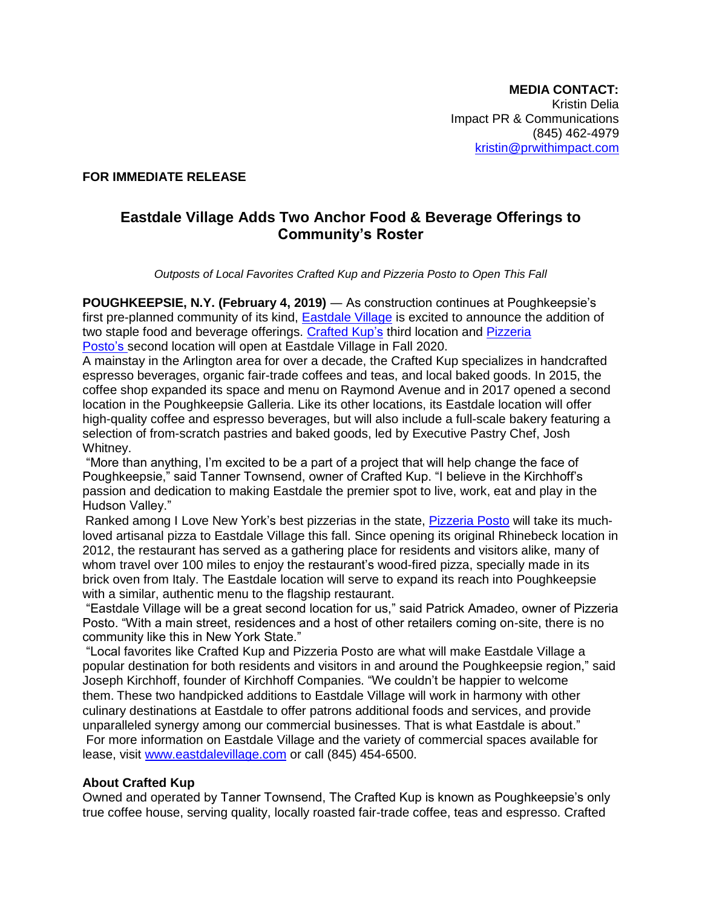## **FOR IMMEDIATE RELEASE**

# **Eastdale Village Adds Two Anchor Food & Beverage Offerings to Community's Roster**

*Outposts of Local Favorites Crafted Kup and Pizzeria Posto to Open This Fall*

**POUGHKEEPSIE, N.Y. (February 4, 2019)** ― As construction continues at Poughkeepsie's first pre-planned community of its kind, [Eastdale Village](https://www.eastdalevillage.com/) is excited to announce the addition of two staple food and beverage offerings. [Crafted Kup's](http://thecraftedkup.com/menu) third location and Pizzeria [Posto'](http://postopizzeria.com/)s second location will open at Eastdale Village in Fall 2020.

A mainstay in the Arlington area for over a decade, the Crafted Kup specializes in handcrafted espresso beverages, organic fair-trade coffees and teas, and local baked goods. In 2015, the coffee shop expanded its space and menu on Raymond Avenue and in 2017 opened a second location in the Poughkeepsie Galleria. Like its other locations, its Eastdale location will offer high-quality coffee and espresso beverages, but will also include a full-scale bakery featuring a selection of from-scratch pastries and baked goods, led by Executive Pastry Chef, Josh Whitney.

"More than anything, I'm excited to be a part of a project that will help change the face of Poughkeepsie," said Tanner Townsend, owner of Crafted Kup. "I believe in the Kirchhoff's passion and dedication to making Eastdale the premier spot to live, work, eat and play in the Hudson Valley."

Ranked among I Love New York's best pizzerias in the state, [Pizzeria](http://postopizzeria.com/) Posto will take its muchloved artisanal pizza to Eastdale Village this fall. Since opening its original Rhinebeck location in 2012, the restaurant has served as a gathering place for residents and visitors alike, many of whom travel over 100 miles to enjoy the restaurant's wood-fired pizza, specially made in its brick oven from Italy. The Eastdale location will serve to expand its reach into Poughkeepsie with a similar, authentic menu to the flagship restaurant.

"Eastdale Village will be a great second location for us," said Patrick Amadeo, owner of Pizzeria Posto. "With a main street, residences and a host of other retailers coming on-site, there is no community like this in New York State."

"Local favorites like Crafted Kup and Pizzeria Posto are what will make Eastdale Village a popular destination for both residents and visitors in and around the Poughkeepsie region," said Joseph Kirchhoff, founder of Kirchhoff Companies. "We couldn't be happier to welcome them. These two handpicked additions to Eastdale Village will work in harmony with other culinary destinations at Eastdale to offer patrons additional foods and services, and provide unparalleled synergy among our commercial businesses. That is what Eastdale is about." For more information on Eastdale Village and the variety of commercial spaces available for lease, visit [www.eastdalevillage.com](http://www.eastdalevillage.com/) or call (845) 454-6500.

## **About Crafted Kup**

Owned and operated by Tanner Townsend, The Crafted Kup is known as Poughkeepsie's only true coffee house, serving quality, locally roasted fair-trade coffee, teas and espresso. Crafted